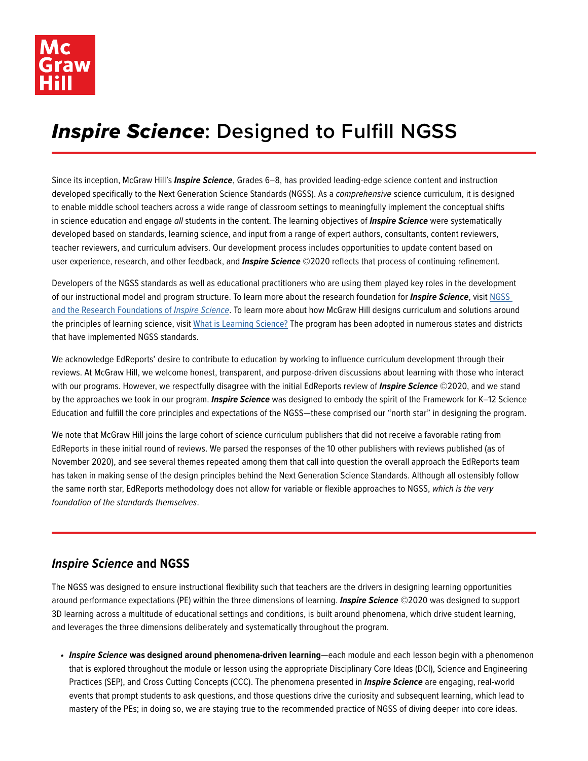

## *Inspire Science***: Designed to Fulfill NGSS**

Since its inception, McGraw Hill's *Inspire Science*, Grades 6–8, has provided leading-edge science content and instruction developed specifically to the Next Generation Science Standards (NGSS). As a *comprehensive* science curriculum, it is designed to enable middle school teachers across a wide range of classroom settings to meaningfully implement the conceptual shifts in science education and engage *all* students in the content. The learning objectives of *Inspire Science* were systematically developed based on standards, learning science, and input from a range of expert authors, consultants, content reviewers, teacher reviewers, and curriculum advisers. Our development process includes opportunities to update content based on user experience, research, and other feedback, and *Inspire Science* ©2020 reflects that process of continuing refinement.

Developers of the NGSS standards as well as educational practitioners who are using them played key roles in the development of our instructional model and program structure. To learn more about the research foundation for *Inspire Science*, visit [NGSS](https://www.mheducation.com/prek-12/program/microsites/MKTSP-AIB05M0/research.html)  [and the Research Foundations of](https://www.mheducation.com/prek-12/program/microsites/MKTSP-AIB05M0/research.html) *Inspire Science*. To learn more about how McGraw Hill designs curriculum and solutions around the principles of learning science, visit [What is Learning Science?](https://www.mheducation.com/learning-science.tab-what-is-learning-science.html) The program has been adopted in numerous states and districts that have implemented NGSS standards.

We acknowledge EdReports' desire to contribute to education by working to influence curriculum development through their reviews. At McGraw Hill, we welcome honest, transparent, and purpose-driven discussions about learning with those who interact with our programs. However, we respectfully disagree with the initial EdReports review of *Inspire Science* ©2020, and we stand by the approaches we took in our program. *Inspire Science* was designed to embody the spirit of the Framework for K–12 Science Education and fulfill the core principles and expectations of the NGSS—these comprised our "north star" in designing the program.

We note that McGraw Hill joins the large cohort of science curriculum publishers that did not receive a favorable rating from EdReports in these initial round of reviews. We parsed the responses of the 10 other publishers with reviews published (as of November 2020), and see several themes repeated among them that call into question the overall approach the EdReports team has taken in making sense of the design principles behind the Next Generation Science Standards. Although all ostensibly follow the same north star, EdReports methodology does not allow for variable or flexible approaches to NGSS, *which is the very foundation of the standards themselves*.

## *Inspire Science* **and NGSS**

The NGSS was designed to ensure instructional flexibility such that teachers are the drivers in designing learning opportunities around performance expectations (PE) within the three dimensions of learning. *Inspire Science* ©2020 was designed to support 3D learning across a multitude of educational settings and conditions, is built around phenomena, which drive student learning, and leverages the three dimensions deliberately and systematically throughout the program.

*• Inspire Science* **was designed around phenomena-driven learning**—each module and each lesson begin with a phenomenon that is explored throughout the module or lesson using the appropriate Disciplinary Core Ideas (DCI), Science and Engineering Practices (SEP), and Cross Cutting Concepts (CCC). The phenomena presented in *Inspire Science* are engaging, real-world events that prompt students to ask questions, and those questions drive the curiosity and subsequent learning, which lead to mastery of the PEs; in doing so, we are staying true to the recommended practice of NGSS of diving deeper into core ideas.